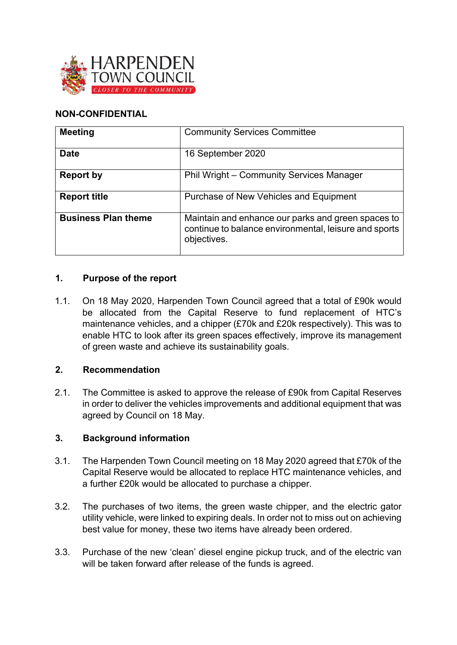

### **NON-CONFIDENTIAL**

| <b>Meeting</b>             | <b>Community Services Committee</b>                                                                                        |
|----------------------------|----------------------------------------------------------------------------------------------------------------------------|
| <b>Date</b>                | 16 September 2020                                                                                                          |
| <b>Report by</b>           | Phil Wright - Community Services Manager                                                                                   |
| <b>Report title</b>        | Purchase of New Vehicles and Equipment                                                                                     |
| <b>Business Plan theme</b> | Maintain and enhance our parks and green spaces to<br>continue to balance environmental, leisure and sports<br>objectives. |

### **1. Purpose of the report**

1.1. On 18 May 2020, Harpenden Town Council agreed that a total of £90k would be allocated from the Capital Reserve to fund replacement of HTC's maintenance vehicles, and a chipper (£70k and £20k respectively). This was to enable HTC to look after its green spaces effectively, improve its management of green waste and achieve its sustainability goals.

#### **2. Recommendation**

2.1. The Committee is asked to approve the release of £90k from Capital Reserves in order to deliver the vehicles improvements and additional equipment that was agreed by Council on 18 May.

#### **3. Background information**

- 3.1. The Harpenden Town Council meeting on 18 May 2020 agreed that £70k of the Capital Reserve would be allocated to replace HTC maintenance vehicles, and a further £20k would be allocated to purchase a chipper.
- 3.2. The purchases of two items, the green waste chipper, and the electric gator utility vehicle, were linked to expiring deals. In order not to miss out on achieving best value for money, these two items have already been ordered.
- 3.3. Purchase of the new 'clean' diesel engine pickup truck, and of the electric van will be taken forward after release of the funds is agreed.